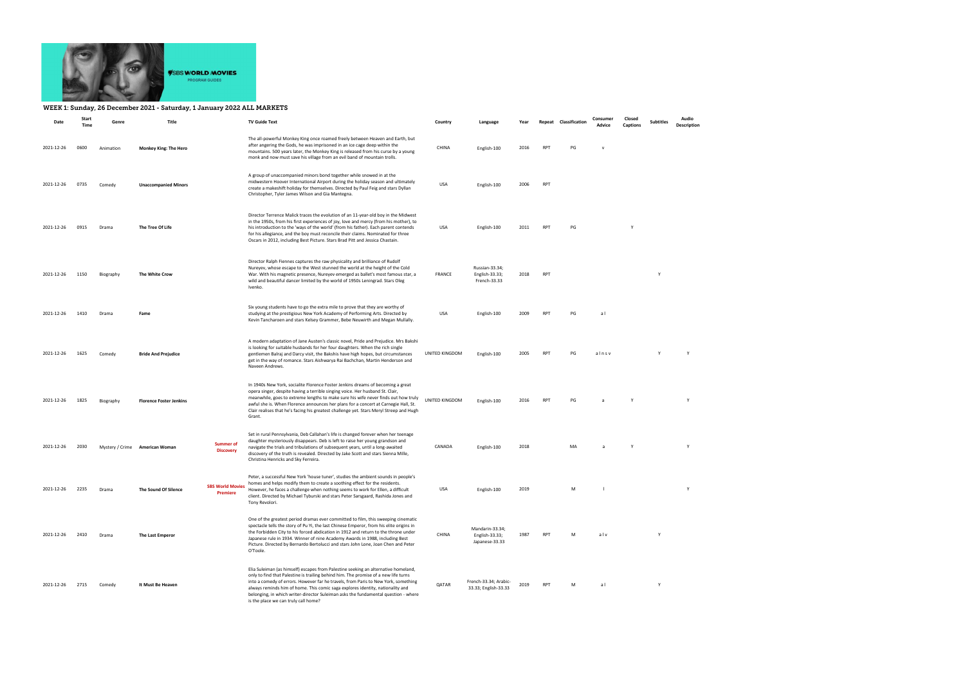

## WEEK 1: Sunday, 26 December 2021 - Saturday, 1 January 2022 ALL MARKETS

| Date       | Start<br>Time | Genre     | Title                          |                                            | <b>TV Guide Text</b>                                                                                                                                                                                                                                                                                                                                                                                                                                                            | Country        | Language                                            | Year |            | Repeat Classification | Consumer<br>Advice | Closed<br>Captions | Subtitles | Audio<br>Description |
|------------|---------------|-----------|--------------------------------|--------------------------------------------|---------------------------------------------------------------------------------------------------------------------------------------------------------------------------------------------------------------------------------------------------------------------------------------------------------------------------------------------------------------------------------------------------------------------------------------------------------------------------------|----------------|-----------------------------------------------------|------|------------|-----------------------|--------------------|--------------------|-----------|----------------------|
| 2021-12-26 | 0600          | Animation | <b>Monkey King: The Hero</b>   |                                            | The all-powerful Monkey King once roamed freely between Heaven and Earth, but<br>after angering the Gods, he was imprisoned in an ice cage deep within the<br>mountains. 500 years later, the Monkey King is released from his curse by a young<br>monk and now must save his village from an evil band of mountain trolls.                                                                                                                                                     | CHINA          | English-100                                         | 2016 | <b>RPT</b> | PG                    |                    |                    |           |                      |
| 2021-12-26 | 0735          | Comedy    | <b>Unaccompanied Minors</b>    |                                            | A group of unaccompanied minors bond together while snowed in at the<br>midwestern Hoover International Airport during the holiday season and ultimately<br>create a makeshift holiday for themselves. Directed by Paul Feig and stars Dyllan<br>Christopher, Tyler James Wilson and Gia Mantegna.                                                                                                                                                                              | USA            | English-100                                         | 2006 | <b>RPT</b> |                       |                    |                    |           |                      |
| 2021-12-26 | 0915          | Drama     | The Tree Of Life               |                                            | Director Terrence Malick traces the evolution of an 11-year-old boy in the Midwest<br>in the 1950s, from his first experiences of joy, love and mercy (from his mother), to<br>his introduction to the 'ways of the world' (from his father). Each parent contends<br>for his allegiance, and the boy must reconcile their claims. Nominated for three<br>Oscars in 2012, including Best Picture. Stars Brad Pitt and Jessica Chastain.                                         | <b>USA</b>     | English-100                                         | 2011 | <b>RPT</b> | PG                    |                    | Y                  |           |                      |
| 2021-12-26 | 1150          | Biography | The White Crow                 |                                            | Director Ralph Fiennes captures the raw physicality and brilliance of Rudolf<br>Nureyev, whose escape to the West stunned the world at the height of the Cold<br>War. With his magnetic presence, Nureyev emerged as ballet's most famous star, a<br>wild and beautiful dancer limited by the world of 1950s Leningrad. Stars Oleg<br>Ivenko.                                                                                                                                   | FRANCE         | Russian-33.34;<br>English-33.33;<br>French-33.33    | 2018 | <b>RPT</b> |                       |                    |                    | Y         |                      |
| 2021-12-26 | 1410          | Drama     | Fame                           |                                            | Six young students have to go the extra mile to prove that they are worthy of<br>studying at the prestigious New York Academy of Performing Arts. Directed by<br>Kevin Tancharoen and stars Kelsey Grammer, Bebe Neuwirth and Megan Mullally.                                                                                                                                                                                                                                   | <b>USA</b>     | English-100                                         | 2009 | <b>RPT</b> | PG                    | a l                |                    |           |                      |
| 2021-12-26 | 1625          | Comedy    | <b>Bride And Prejudice</b>     |                                            | A modern adaptation of Jane Austen's classic novel, Pride and Prejudice. Mrs Bakshi<br>is looking for suitable husbands for her four daughters. When the rich single<br>gentlemen Balraj and Darcy visit, the Bakshis have high hopes, but circumstances<br>get in the way of romance. Stars Aishwarya Rai Bachchan, Martin Henderson and<br>Naveen Andrews.                                                                                                                    | UNITED KINGDOM | English-100                                         | 2005 | <b>RPT</b> | PG                    | alnsv              |                    | Y         | Y                    |
| 2021-12-26 | 1825          | Biography | <b>Florence Foster Jenkins</b> |                                            | In 1940s New York, socialite Florence Foster Jenkins dreams of becoming a great<br>opera singer, despite having a terrible singing voice. Her husband St. Clair,<br>meanwhile, goes to extreme lengths to make sure his wife never finds out how truly<br>awful she is. When Florence announces her plans for a concert at Carnegie Hall, St.<br>Clair realises that he's facing his greatest challenge yet. Stars Meryl Streep and Hugh<br>Grant.                              | UNITED KINGDOM | English-100                                         | 2016 | <b>RPT</b> | PG                    |                    |                    |           | Y                    |
| 2021-12-26 | 2030          |           | Mystery / Crime American Woman | <b>Summer of</b><br><b>Discovery</b>       | Set in rural Pennsylvania, Deb Callahan's life is changed forever when her teenage<br>daughter mysteriously disappears. Deb is left to raise her young grandson and<br>navigate the trials and tribulations of subsequent years, until a long-awaited<br>discovery of the truth is revealed. Directed by Jake Scott and stars Sienna Mille,<br>Christina Henricks and Sky Ferreira.                                                                                             | CANADA         | English-100                                         | 2018 |            | MA                    |                    |                    |           | Y                    |
| 2021-12-26 | 2235          | Drama     | The Sound Of Silence           | <b>SBS World Movies</b><br><b>Premiere</b> | Peter, a successful New York 'house tuner', studies the ambient sounds in people's<br>homes and helps modify them to create a soothing effect for the residents.<br>However, he faces a challenge when nothing seems to work for Ellen, a difficult<br>client. Directed by Michael Tyburski and stars Peter Sarsgaard, Rashida Jones and<br>Tony Revolori.                                                                                                                      | <b>USA</b>     | English-100                                         | 2019 |            | м                     |                    |                    |           | Y                    |
| 2021-12-26 | 2410          | Drama     | The Last Emperor               |                                            | One of the greatest period dramas ever committed to film, this sweeping cinematic<br>spectacle tells the story of Pu Yi, the last Chinese Emperor, from his elite origins in<br>the Forbidden City to his forced abdication in 1912 and return to the throne under<br>Japanese rule in 1934. Winner of nine Academy Awards in 1988, including Best<br>Picture. Directed by Bernardo Bertolucci and stars John Lone, Joan Chen and Peter<br>O'Toole.                             | CHINA          | Mandarin-33.34;<br>English-33.33;<br>Japanese-33.33 | 1987 | <b>RPT</b> | M                     | alv                |                    | Y         |                      |
| 2021-12-26 | 2715          | Comedy    | It Must Be Heaven              |                                            | Elia Suleiman (as himself) escapes from Palestine seeking an alternative homeland,<br>only to find that Palestine is trailing behind him. The promise of a new life turns<br>into a comedy of errors. However far he travels, from Paris to New York, something<br>always reminds him of home. This comic saga explores identity, nationality and<br>belonging, in which writer-director Suleiman asks the fundamental question - where<br>is the place we can truly call home? | QATAR          | French-33.34; Arabic-<br>33.33; English-33.33       | 2019 | <b>RPT</b> | M                     | al                 |                    | Y         |                      |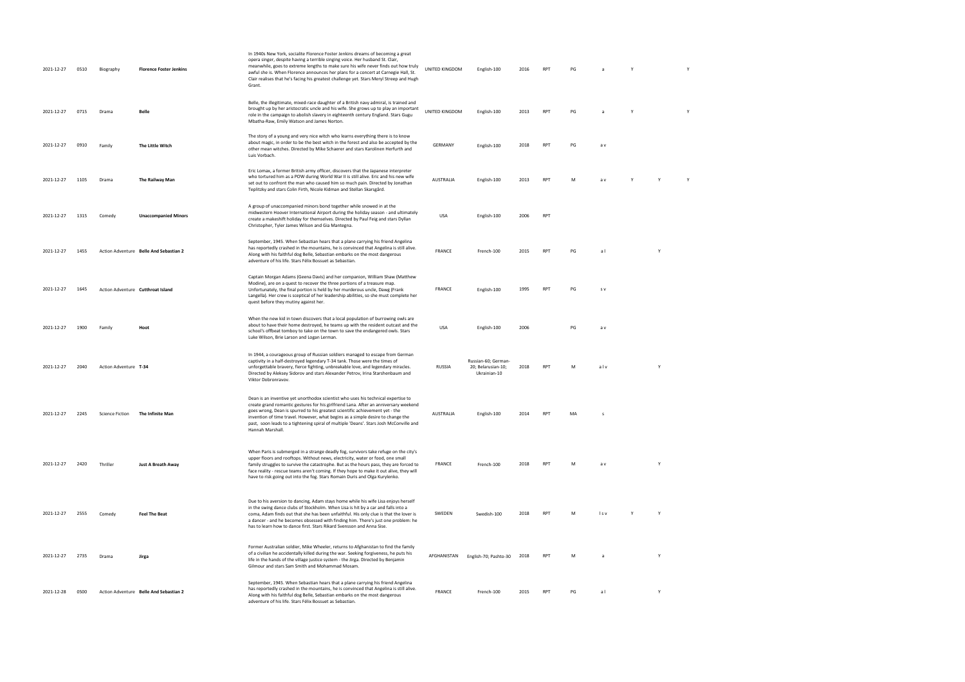| 2021-12-27      | 0510 | Biography              | <b>Florence Foster Jenkins</b>         | In 1940s New York, socialite Florence Foster Jenkins dreams of becoming a great<br>opera singer, despite having a terrible singing voice. Her husband St. Clair,<br>meanwhile, goes to extreme lengths to make sure his wife never finds out how truly<br>awful she is. When Florence announces her plans for a concert at Carnegie Hall, St.<br>Clair realises that he's facing his greatest challenge yet. Stars Meryl Streep and Hugh<br>Grant.         | UNITED KINGDOM | English-100                                               | 2016 | <b>RPT</b> | PG |       |   |   |  |
|-----------------|------|------------------------|----------------------------------------|------------------------------------------------------------------------------------------------------------------------------------------------------------------------------------------------------------------------------------------------------------------------------------------------------------------------------------------------------------------------------------------------------------------------------------------------------------|----------------|-----------------------------------------------------------|------|------------|----|-------|---|---|--|
| 2021-12-27      | 0715 | Drama                  | Belle                                  | Belle, the illegitimate, mixed-race daughter of a British navy admiral, is trained and<br>brought up by her aristocratic uncle and his wife. She grows up to play an important<br>role in the campaign to abolish slavery in eighteenth century England. Stars Gugu<br>Mbatha-Raw, Emily Watson and James Norton.                                                                                                                                          | UNITED KINGDOM | English-100                                               | 2013 | RPT        | PG |       | Y |   |  |
| 2021-12-27      | 0910 | Family                 | The Little Witch                       | The story of a young and very nice witch who learns everything there is to know<br>about magic, in order to be the best witch in the forest and also be accepted by the<br>other mean witches. Directed by Mike Schaerer and stars Karolinen Herfurth and<br>Luis Vorbach.                                                                                                                                                                                 | GERMANY        | English-100                                               | 2018 | RPT        | PG | a v   |   |   |  |
| 2021-12-27      | 1105 | Drama                  | The Railway Man                        | Eric Lomax, a former British army officer, discovers that the Japanese interpreter<br>who tortured him as a POW during World War II is still alive. Eric and his new wife<br>set out to confront the man who caused him so much pain. Directed by Jonathan<br>Teplitzky and stars Colin Firth, Nicole Kidman and Stellan Skarsgård.                                                                                                                        | AUSTRALIA      | English-100                                               | 2013 | RPT        | м  | a v   |   |   |  |
| 2021-12-27      | 1315 | Comedy                 | <b>Unaccompanied Minors</b>            | A group of unaccompanied minors bond together while snowed in at the<br>midwestern Hoover International Airport during the holiday season - and ultimately<br>create a makeshift holiday for themselves. Directed by Paul Feig and stars Dyllan<br>Christopher, Tyler James Wilson and Gia Mantegna.                                                                                                                                                       | USA            | English-100                                               | 2006 | RPT        |    |       |   |   |  |
| 2021-12-27      | 1455 |                        | Action Adventure Belle And Sebastian 2 | September, 1945. When Sebastian hears that a plane carrying his friend Angelina<br>has reportedly crashed in the mountains, he is convinced that Angelina is still alive.<br>Along with his faithful dog Belle, Sebastian embarks on the most dangerous<br>adventure of his life. Stars Félix Bossuet as Sebastian.                                                                                                                                        | <b>FRANCE</b>  | French-100                                                | 2015 | <b>RPT</b> | PG | al    |   |   |  |
| 2021-12-27      | 1645 |                        | Action Adventure Cutthroat Island      | Captain Morgan Adams (Geena Davis) and her companion, William Shaw (Matthew<br>Modine), are on a quest to recover the three portions of a treasure map.<br>Unfortunately, the final portion is held by her murderous uncle, Dawg (Frank<br>Langella). Her crew is sceptical of her leadership abilities, so she must complete her<br>quest before they mutiny against her.                                                                                 | FRANCE         | English-100                                               | 1995 | RPT        | PG | s v   |   |   |  |
| 2021-12-27      | 1900 | Family                 | Hoot                                   | When the new kid in town discovers that a local population of burrowing owls are<br>about to have their home destroyed, he teams up with the resident outcast and the<br>school's offbeat tomboy to take on the town to save the endangered owls. Stars<br>Luke Wilson, Brie Larson and Logan Lerman.                                                                                                                                                      | USA            | English-100                                               | 2006 |            | PG | a v   |   |   |  |
| 2021-12-27      | 2040 | Action Adventure T-34  |                                        | In 1944, a courageous group of Russian soldiers managed to escape from German<br>captivity in a half-destroyed legendary T-34 tank. Those were the times of<br>unforgettable bravery, fierce fighting, unbreakable love, and legendary miracles.<br>Directed by Aleksey Sidorov and stars Alexander Petrov, Irina Starshenbaum and<br>Viktor Dobronravov.                                                                                                  | RUSSIA         | Russian-60; German-<br>20; Belarusian-10;<br>Ukrainian-10 | 2018 | RPT        | м  | alv   |   | Y |  |
| 2021-12-27 2245 |      | <b>Science Fiction</b> | The Infinite Man                       | Dean is an inventive yet unorthodox scientist who uses his technical expertise to<br>create grand romantic gestures for his girlfriend Lana. After an anniversary weekend<br>goes wrong, Dean is spurred to his greatest scientific achievement yet - the<br>invention of time travel. However, what begins as a simple desire to change the<br>past, soon leads to a tightening spiral of multiple 'Deans'. Stars Josh McConville and<br>Hannah Marshall. | AUSTRALIA      | English-100                                               | 2014 | RPT        |    |       |   |   |  |
| 2021-12-27      | 2420 | Thriller               | Just A Breath Away                     | When Paris is submerged in a strange deadly fog, survivors take refuge on the city's<br>upper floors and rooftops. Without news, electricity, water or food, one small<br>family struggles to survive the catastrophe. But as the hours pass, they are forced to<br>face reality - rescue teams aren't coming. If they hope to make it out alive, they will<br>have to risk going out into the fog. Stars Romain Duris and Olga Kurylenko.                 | FRANCE         | French-100                                                | 2018 | RPT        | M  | a v   |   | Y |  |
| 2021-12-27      | 2555 | Comedy                 | <b>Feel The Beat</b>                   | Due to his aversion to dancing, Adam stays home while his wife Lisa enjoys herself<br>in the swing dance clubs of Stockholm. When Lisa is hit by a car and falls into a<br>coma, Adam finds out that she has been unfaithful. His only clue is that the lover is<br>a dancer - and he becomes obsessed with finding him. There's just one problem: he<br>has to learn how to dance first. Stars Rikard Svensson and Anna Sise.                             | SWEDEN         | Swedish-100                                               | 2018 | RPT        | M  | l s v | Y | Y |  |
| 2021-12-27      | 2735 | Drama                  | Jirga                                  | Former Australian soldier, Mike Wheeler, returns to Afghanistan to find the family<br>of a civilian he accidentally killed during the war. Seeking forgiveness, he puts his<br>life in the hands of the village justice system - the Jirga. Directed by Benjamin<br>Gilmour and stars Sam Smith and Mohammad Mosam.                                                                                                                                        |                | AFGHANISTAN English-70; Pashto-30 2018                    |      | RPT        | M  |       |   |   |  |
| 2021-12-28      | 0500 |                        | Action Adventure Belle And Sebastian 2 | September, 1945. When Sebastian hears that a plane carrying his friend Angelina<br>has reportedly crashed in the mountains, he is convinced that Angelina is still alive.<br>Along with his faithful dog Belle, Sebastian embarks on the most dangerous<br>adventure of his life. Stars Félix Bossuet as Sebastian.                                                                                                                                        | <b>FRANCE</b>  | French-100                                                | 2015 | RPT        | PG | al    |   | Y |  |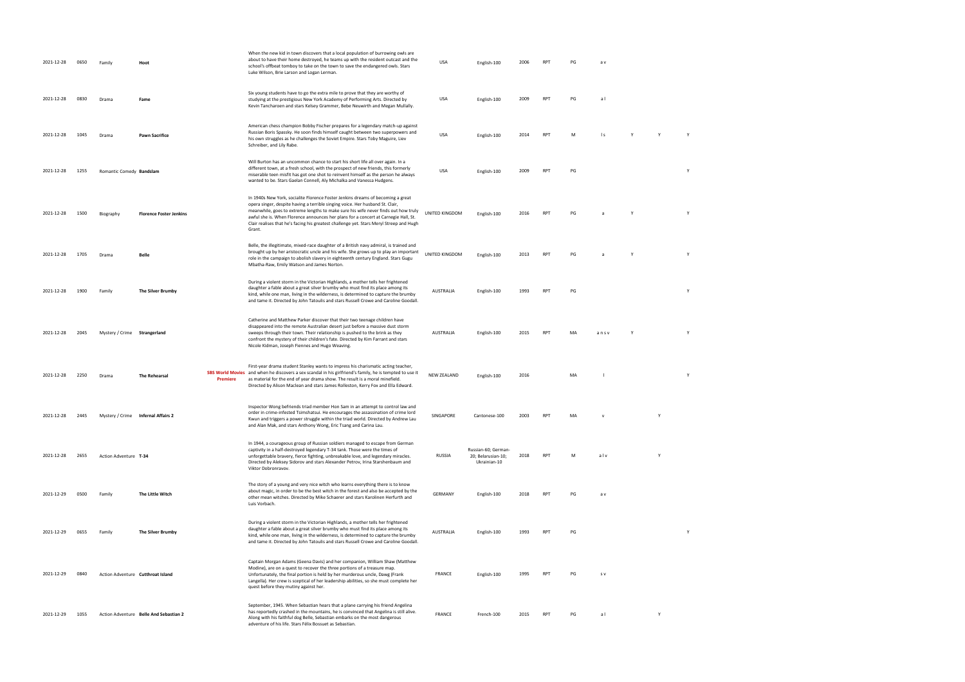| 2021-12-28 | 0650 | Family                       | Hoot                                   |                 | When the new kid in town discovers that a local population of burrowing owls are<br>about to have their home destroyed, he teams up with the resident outcast and the<br>school's offbeat tomboy to take on the town to save the endangered owls. Stars<br>Luke Wilson, Brie Larson and Logan Lerman.                                                                                                                                              | <b>USA</b>     | English-100                                               | 2006 | <b>RPT</b> | PG | a v  |   |   |
|------------|------|------------------------------|----------------------------------------|-----------------|----------------------------------------------------------------------------------------------------------------------------------------------------------------------------------------------------------------------------------------------------------------------------------------------------------------------------------------------------------------------------------------------------------------------------------------------------|----------------|-----------------------------------------------------------|------|------------|----|------|---|---|
| 2021-12-28 | 0830 | Drama                        | Fame                                   |                 | Six young students have to go the extra mile to prove that they are worthy of<br>studying at the prestigious New York Academy of Performing Arts. Directed by<br>Kevin Tancharoen and stars Kelsey Grammer, Bebe Neuwirth and Megan Mullally.                                                                                                                                                                                                      | USA            | English-100                                               | 2009 | <b>RPT</b> | PG | al   |   |   |
| 2021-12-28 | 1045 | Drama                        | <b>Pawn Sacrifice</b>                  |                 | American chess champion Bobby Fischer prepares for a legendary match-up against<br>Russian Boris Spassky. He soon finds himself caught between two superpowers and<br>his own struggles as he challenges the Soviet Empire. Stars Toby Maguire, Liev<br>Schreiber, and Lily Rabe.                                                                                                                                                                  | <b>USA</b>     | English-100                                               | 2014 | RPT        | M  | l s  |   |   |
| 2021-12-28 | 1255 | Romantic Comedy Bandslam     |                                        |                 | Will Burton has an uncommon chance to start his short life all over again. In a<br>different town, at a fresh school, with the prospect of new friends, this formerly<br>miserable teen misfit has got one shot to reinvent himself as the person he always<br>wanted to be. Stars Gaelan Connell, Aly Michalka and Vanessa Hudgens.                                                                                                               | <b>USA</b>     | English-100                                               | 2009 | RPT        | PG |      |   | Y |
| 2021-12-28 | 1500 | Biography                    | <b>Florence Foster Jenkins</b>         |                 | In 1940s New York, socialite Florence Foster Jenkins dreams of becoming a great<br>opera singer, despite having a terrible singing voice. Her husband St. Clair,<br>meanwhile, goes to extreme lengths to make sure his wife never finds out how truly<br>awful she is. When Florence announces her plans for a concert at Carnegie Hall, St.<br>Clair realises that he's facing his greatest challenge yet. Stars Meryl Streep and Hugh<br>Grant. | UNITED KINGDOM | English-100                                               | 2016 | RPT        | PG | a    |   |   |
| 2021-12-28 | 1705 | Drama                        | Belle                                  |                 | Belle, the illegitimate, mixed-race daughter of a British navy admiral, is trained and<br>brought up by her aristocratic uncle and his wife. She grows up to play an important<br>role in the campaign to abolish slavery in eighteenth century England. Stars Gugu<br>Mbatha-Raw, Emily Watson and James Norton.                                                                                                                                  | UNITED KINGDOM | English-100                                               | 2013 | RPT        | PG |      |   |   |
| 2021-12-28 | 1900 | Family                       | The Silver Brumby                      |                 | During a violent storm in the Victorian Highlands, a mother tells her frightened<br>daughter a fable about a great silver brumby who must find its place among its<br>kind, while one man, living in the wilderness, is determined to capture the brumby<br>and tame it. Directed by John Tatoulis and stars Russell Crowe and Caroline Goodall.                                                                                                   | AUSTRALIA      | English-100                                               | 1993 | RPT        | PG |      |   | Υ |
| 2021-12-28 | 2045 | Mystery / Crime Strangerland |                                        |                 | Catherine and Matthew Parker discover that their two teenage children have<br>disappeared into the remote Australian desert just before a massive dust storm<br>sweeps through their town. Their relationship is pushed to the brink as they<br>confront the mystery of their children's fate. Directed by Kim Farrant and stars<br>Nicole Kidman, Joseph Fiennes and Hugo Weaving.                                                                | AUSTRALIA      | English-100                                               | 2015 | <b>RPT</b> | MA | ansy |   |   |
| 2021-12-28 | 2250 | Drama                        | The Rehearsal                          | <b>Premiere</b> | First-year drama student Stanley wants to impress his charismatic acting teacher,<br>SBS World Movies and when he discovers a sex scandal in his girlfriend's family, he is tempted to use it<br>as material for the end of year drama show. The result is a moral minefield.<br>Directed by Alison Maclean and stars James Rolleston, Kerry Fox and Ella Edward.                                                                                  | NEW ZEALAND    | English-100                                               | 2016 |            | MA |      |   | Y |
| 2021-12-28 | 2445 |                              | Mystery / Crime Infernal Affairs 2     |                 | Inspector Wong befriends triad member Hon Sam in an attempt to control law and<br>order in crime-infested Tsimshatsui. He encourages the assassination of crime lord<br>Kwun and triggers a power struggle within the triad world. Directed by Andrew Lau<br>and Alan Mak, and stars Anthony Wong, Eric Tsang and Carina Lau.                                                                                                                      | SINGAPORE      | Cantonese-100                                             | 2003 | RPT        |    |      |   |   |
| 2021-12-28 | 2655 | Action Adventure T-34        |                                        |                 | In 1944, a courageous group of Russian soldiers managed to escape from German<br>captivity in a half-destroyed legendary T-34 tank. Those were the times of<br>unforgettable bravery, fierce fighting, unbreakable love, and legendary miracles.<br>Directed by Aleksey Sidorov and stars Alexander Petrov, Irina Starshenbaum and<br>Viktor Dobronravov.                                                                                          | <b>RUSSIA</b>  | Russian-60; German-<br>20; Belarusian-10;<br>Ukrainian-10 | 2018 | RPT        | M  | alv  | γ |   |
| 2021-12-29 | 0500 | Family                       | The Little Witch                       |                 | The story of a young and very nice witch who learns everything there is to know<br>about magic, in order to be the best witch in the forest and also be accepted by the<br>other mean witches. Directed by Mike Schaerer and stars Karolinen Herfurth and<br>Luis Vorbach.                                                                                                                                                                         | GERMANY        | English-100                                               | 2018 | RPT        | PG | a v  |   |   |
| 2021-12-29 | 0655 | Family                       | The Silver Brumby                      |                 | During a violent storm in the Victorian Highlands, a mother tells her frightened<br>daughter a fable about a great silver brumby who must find its place among its<br>kind, while one man, living in the wilderness, is determined to capture the brumby<br>and tame it. Directed by John Tatoulis and stars Russell Crowe and Caroline Goodall.                                                                                                   | AUSTRALIA      | English-100                                               | 1993 | <b>RPT</b> | PG |      |   |   |
| 2021-12-29 | 0840 |                              | Action Adventure Cutthroat Island      |                 | Captain Morgan Adams (Geena Davis) and her companion, William Shaw (Matthew<br>Modine), are on a quest to recover the three portions of a treasure map.<br>Unfortunately, the final portion is held by her murderous uncle, Dawg (Frank<br>Langella). Her crew is sceptical of her leadership abilities, so she must complete her<br>quest before they mutiny against her.                                                                         | <b>FRANCE</b>  | English-100                                               | 1995 | RPT        | PG | s v  |   |   |
| 2021-12-29 | 1055 |                              | Action Adventure Belle And Sebastian 2 |                 | September, 1945. When Sebastian hears that a plane carrying his friend Angelina<br>has reportedly crashed in the mountains, he is convinced that Angelina is still alive.<br>Along with his faithful dog Belle, Sebastian embarks on the most dangerous<br>adventure of his life. Stars Félix Bossuet as Sebastian.                                                                                                                                | <b>FRANCE</b>  | French-100                                                | 2015 | <b>RPT</b> | PG | al   | Y |   |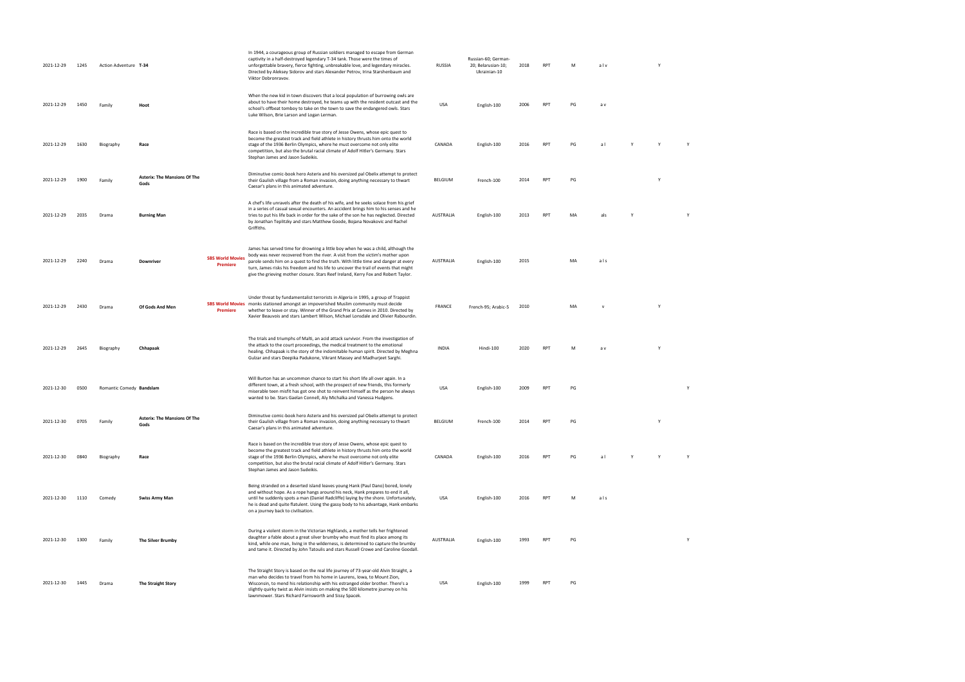| 2021-12-29 | 1245 | Action Adventure T-34    |                                             |                                            | In 1944, a courageous group of Russian soldiers managed to escape from German<br>captivity in a half-destroyed legendary T-34 tank. Those were the times of<br>unforgettable bravery, fierce fighting, unbreakable love, and legendary miracles.<br>Directed by Aleksey Sidorov and stars Alexander Petrov, Irina Starshenbaum and<br>Viktor Dobronravov.                                                                                | RUSSIA           | Russian-60; German-<br>20; Belarusian-10;<br>Ukrainian-10 | 2018 | <b>RPT</b> | M  | alv          | Y |   |
|------------|------|--------------------------|---------------------------------------------|--------------------------------------------|------------------------------------------------------------------------------------------------------------------------------------------------------------------------------------------------------------------------------------------------------------------------------------------------------------------------------------------------------------------------------------------------------------------------------------------|------------------|-----------------------------------------------------------|------|------------|----|--------------|---|---|
| 2021-12-29 | 1450 | Family                   | Hoot                                        |                                            | When the new kid in town discovers that a local population of burrowing owls are<br>about to have their home destroyed, he teams up with the resident outcast and the<br>school's offbeat tomboy to take on the town to save the endangered owls. Stars<br>Luke Wilson, Brie Larson and Logan Lerman.                                                                                                                                    | <b>USA</b>       | English-100                                               | 2006 | <b>RPT</b> | PG | a v          |   |   |
| 2021-12-29 | 1630 | Biography                | Race                                        |                                            | Race is based on the incredible true story of Jesse Owens, whose epic quest to<br>become the greatest track and field athlete in history thrusts him onto the world<br>stage of the 1936 Berlin Olympics, where he must overcome not only elite<br>competition, but also the brutal racial climate of Adolf Hitler's Germany. Stars<br>Stephan James and Jason Sudeikis.                                                                 | CANADA           | English-100                                               | 2016 | <b>RPT</b> | PG | a l          |   |   |
| 2021-12-29 | 1900 | Family                   | <b>Asterix: The Mansions Of The</b><br>Gods |                                            | Diminutive comic-book hero Asterix and his oversized pal Obelix attempt to protect<br>their Gaulish village from a Roman invasion, doing anything necessary to thwart<br>Caesar's plans in this animated adventure.                                                                                                                                                                                                                      | BELGIUM          | French-100                                                | 2014 | RPT        | PG |              | Y |   |
| 2021-12-29 | 2035 | Drama                    | <b>Burning Man</b>                          |                                            | A chef's life unravels after the death of his wife, and he seeks solace from his grief<br>in a series of casual sexual encounters. An accident brings him to his senses and he<br>tries to put his life back in order for the sake of the son he has neglected. Directed<br>by Jonathan Teplitzky and stars Matthew Goode, Bojana Novakovic and Rachel<br>Griffiths.                                                                     | AUSTRALIA        | English-100                                               | 2013 | <b>RPT</b> | MA | als          |   |   |
| 2021-12-29 | 2240 | Drama                    | <b>Downriver</b>                            | <b>SBS World Movies</b><br><b>Premiere</b> | James has served time for drowning a little boy when he was a child, although the<br>body was never recovered from the river. A visit from the victim's mother upon<br>parole sends him on a quest to find the truth. With little time and danger at every<br>turn, James risks his freedom and his life to uncover the trail of events that might<br>give the grieving mother closure. Stars Reef Ireland, Kerry Fox and Robert Taylor. | AUSTRALIA        | English-100                                               | 2015 |            | MA | als          |   |   |
| 2021-12-29 | 2430 | Drama                    | Of Gods And Men                             | <b>Premiere</b>                            | Under threat by fundamentalist terrorists in Algeria in 1995, a group of Trappist<br>SBS World Movies monks stationed amongst an impoverished Muslim community must decide<br>whether to leave or stay. Winner of the Grand Prix at Cannes in 2010. Directed by<br>Xavier Beauvois and stars Lambert Wilson, Michael Lonsdale and Olivier Rabourdin.                                                                                     | FRANCE           | French-95; Arabic-5                                       | 2010 |            | MA | $\mathsf{v}$ | Y |   |
| 2021-12-29 | 2645 | Biography                | Chhapaak                                    |                                            | The trials and triumphs of Malti, an acid attack survivor. From the investigation of<br>the attack to the court proceedings, the medical treatment to the emotional<br>healing. Chhapaak is the story of the indomitable human spirit. Directed by Meghna<br>Gulzar and stars Deepika Padukone, Vikrant Massey and Madhurjeet Sarghi.                                                                                                    | <b>INDIA</b>     | Hindi-100                                                 | 2020 | <b>RPT</b> | M  | a v          |   |   |
| 2021-12-30 | 0500 | Romantic Comedy Bandslam |                                             |                                            | Will Burton has an uncommon chance to start his short life all over again. In a<br>different town, at a fresh school, with the prospect of new friends, this formerly<br>miserable teen misfit has got one shot to reinvent himself as the person he always<br>wanted to be. Stars Gaelan Connell, Aly Michalka and Vanessa Hudgens.                                                                                                     | <b>USA</b>       | English-100                                               | 2009 | <b>RPT</b> | PG |              |   | Y |
| 2021-12-30 | 0705 | Family                   | <b>Asterix: The Mansions Of The</b><br>Gods |                                            | Diminutive comic-book hero Asterix and his oversized pal Obelix attempt to protect<br>their Gaulish village from a Roman invasion, doing anything necessary to thwart<br>Caesar's plans in this animated adventure.                                                                                                                                                                                                                      | BELGIUM          | French-100                                                | 2014 | <b>RPT</b> | PG |              | Υ |   |
| 2021-12-30 | 0840 | Biography                | Race                                        |                                            | Race is based on the incredible true story of Jesse Owens, whose epic quest to<br>become the greatest track and field athlete in history thrusts him onto the world<br>stage of the 1936 Berlin Olympics, where he must overcome not only elite<br>competition, but also the brutal racial climate of Adolf Hitler's Germany. Stars<br>Stephan James and Jason Sudeikis.                                                                 | CANADA           | English-100                                               | 2016 | <b>RPT</b> | PG | a l          |   |   |
| 2021-12-30 | 1110 | Comedy                   | <b>Swiss Army Man</b>                       |                                            | Being stranded on a deserted island leaves young Hank (Paul Dano) bored, lonely<br>and without hope. As a rope hangs around his neck, Hank prepares to end it all,<br>until he suddenly spots a man (Daniel Radcliffe) laying by the shore. Unfortunately,<br>he is dead and quite flatulent. Using the gassy body to his advantage, Hank embarks<br>on a journey back to civilisation.                                                  | <b>USA</b>       | English-100                                               | 2016 | RPT        | M  | als          |   |   |
| 2021-12-30 | 1300 | Family                   | The Silver Brumby                           |                                            | During a violent storm in the Victorian Highlands, a mother tells her frightened<br>daughter a fable about a great silver brumby who must find its place among its<br>kind, while one man, living in the wilderness, is determined to capture the brumby<br>and tame it. Directed by John Tatoulis and stars Russell Crowe and Caroline Goodall.                                                                                         | <b>AUSTRALIA</b> | English-100                                               | 1993 | RPT        | PG |              |   | Y |
| 2021-12-30 | 1445 | Drama                    | The Straight Story                          |                                            | The Straight Story is based on the real life journey of 73-year-old Alvin Straight, a<br>man who decides to travel from his home in Laurens, Iowa, to Mount Zion,<br>Wisconsin, to mend his relationship with his estranged older brother. There's a<br>slightly quirky twist as Alvin insists on making the 500 kilometre journey on his<br>lawnmower. Stars Richard Farnsworth and Sissy Spacek.                                       | USA              | English-100                                               | 1999 | <b>RPT</b> | PG |              |   |   |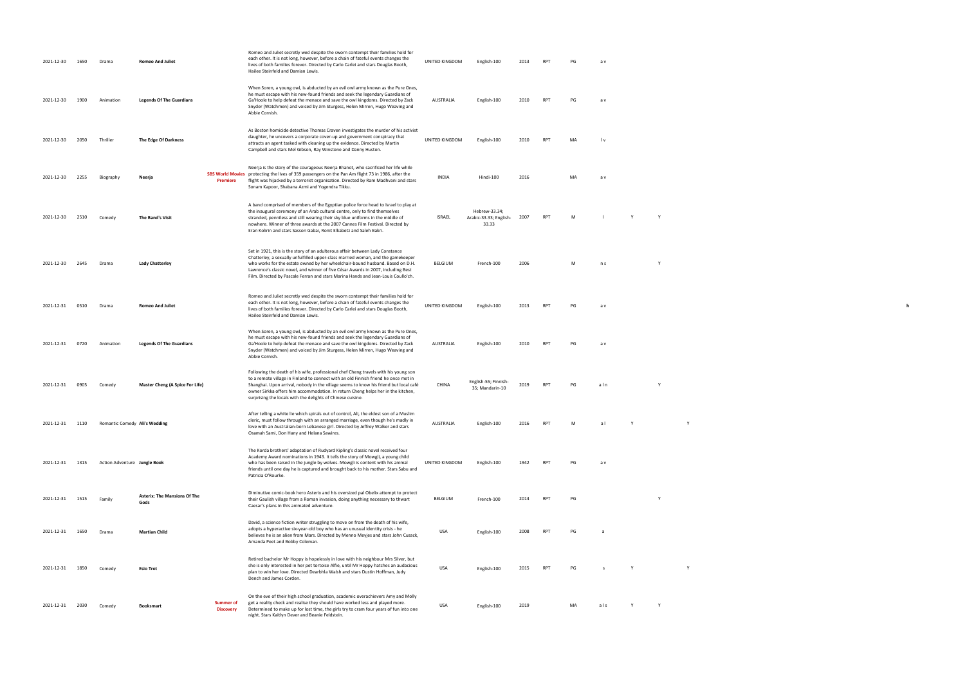UNITED KINGDOM English-100 2013 RPT PG a v **h**

| 2021-12-30 | 1650 | Drama                         | <b>Romeo And Juliet</b>                     |                                      | Romeo and Juliet secretly wed despite the sworn contempt their families hold for<br>each other. It is not long, however, before a chain of fateful events changes the<br>lives of both families forever. Directed by Carlo Carlei and stars Douglas Booth,<br>Hailee Steinfeld and Damian Lewis.                                                                                                                             | UNITED KINGDOM   | English-100                                      | 2013 | RPT        | PG        | a v                     |   |   |  |  |
|------------|------|-------------------------------|---------------------------------------------|--------------------------------------|------------------------------------------------------------------------------------------------------------------------------------------------------------------------------------------------------------------------------------------------------------------------------------------------------------------------------------------------------------------------------------------------------------------------------|------------------|--------------------------------------------------|------|------------|-----------|-------------------------|---|---|--|--|
| 2021-12-30 | 1900 | Animation                     | <b>Legends Of The Guardians</b>             |                                      | When Soren, a young owl, is abducted by an evil owl army known as the Pure Ones,<br>he must escape with his new-found friends and seek the legendary Guardians of<br>Ga'Hoole to help defeat the menace and save the owl kingdoms. Directed by Zack<br>Snyder (Watchmen) and voiced by Jim Sturgess, Helen Mirren, Hugo Weaving and<br>Abbie Cornish.                                                                        | AUSTRALIA        | English-100                                      | 2010 | RPT        | PG        | a v                     |   |   |  |  |
| 2021-12-30 | 2050 | Thriller                      | The Edge Of Darkness                        |                                      | As Boston homicide detective Thomas Craven investigates the murder of his activist<br>daughter, he uncovers a corporate cover-up and government conspiracy that<br>attracts an agent tasked with cleaning up the evidence. Directed by Martin<br>Campbell and stars Mel Gibson, Ray Winstone and Danny Huston.                                                                                                               | UNITED KINGDOM   | English-100                                      | 2010 | <b>RPT</b> | <b>MA</b> | $\mathsf{I} \mathsf{v}$ |   |   |  |  |
| 2021-12-30 | 2255 | Biography                     | Neerja                                      | Premiere                             | Neerja is the story of the courageous Neerja Bhanot, who sacrificed her life while<br>SBS World Movies protecting the lives of 359 passengers on the Pan Am flight 73 in 1986, after the<br>flight was hijacked by a terrorist organisation. Directed by Ram Madhvani and stars<br>Sonam Kapoor, Shabana Azmi and Yogendra Tikku.                                                                                            | <b>INDIA</b>     | Hindi-100                                        | 2016 |            | MA        | a v                     |   |   |  |  |
| 2021-12-30 | 2510 | Comedy                        | The Band's Visit                            |                                      | A band comprised of members of the Egyptian police force head to Israel to play at<br>the inaugural ceremony of an Arab cultural centre, only to find themselves<br>stranded, penniless and still wearing their sky blue uniforms in the middle of<br>nowhere. Winner of three awards at the 2007 Cannes Film Festival. Directed by<br>Eran Kolirin and stars Sasson Gabai, Ronit Elkabetz and Saleh Bakri.                  | ISRAEL           | Hebrew-33.34;<br>Arabic-33.33; English-<br>33.33 | 2007 | <b>RPT</b> | M         |                         |   | Y |  |  |
| 2021-12-30 | 2645 | Drama                         | <b>Lady Chatterley</b>                      |                                      | Set in 1921, this is the story of an adulterous affair between Lady Constance<br>Chatterley, a sexually unfulfilled upper-class married woman, and the gamekeeper<br>who works for the estate owned by her wheelchair-bound husband. Based on D.H.<br>Lawrence's classic novel, and winner of five César Awards in 2007, including Best<br>Film. Directed by Pascale Ferran and stars Marina Hands and Jean-Louis Coullo'ch. | BELGIUM          | French-100                                       | 2006 |            | M         | n s                     |   |   |  |  |
| 2021-12-31 | 0510 | Drama                         | <b>Romeo And Juliet</b>                     |                                      | Romeo and Juliet secretly wed despite the sworn contempt their families hold for<br>each other. It is not long, however, before a chain of fateful events changes the<br>lives of both families forever. Directed by Carlo Carlei and stars Douglas Booth,<br>Hailee Steinfeld and Damian Lewis.                                                                                                                             | UNITED KINGDOM   | English-100                                      | 2013 | <b>RPT</b> | PG        | a v                     |   |   |  |  |
| 2021-12-31 | 0720 | Animation                     | <b>Legends Of The Guardians</b>             |                                      | When Soren, a young owl, is abducted by an evil owl army known as the Pure Ones,<br>he must escape with his new-found friends and seek the legendary Guardians of<br>Ga'Hoole to help defeat the menace and save the owl kingdoms. Directed by Zack<br>Snyder (Watchmen) and voiced by Jim Sturgess, Helen Mirren, Hugo Weaving and<br>Abbie Cornish.                                                                        | AUSTRALIA        | English-100                                      | 2010 | <b>RPT</b> | PG        | a v                     |   |   |  |  |
| 2021-12-31 | 0905 | Comedy                        | <b>Master Cheng (A Spice For Life)</b>      |                                      | Following the death of his wife, professional chef Cheng travels with his young son<br>to a remote village in Finland to connect with an old Finnish friend he once met in<br>Shanghai. Upon arrival, nobody in the village seems to know his friend but local café<br>owner Sirkka offers him accommodation. In return Cheng helps her in the kitchen,<br>surprising the locals with the delights of Chinese cuisine.       | CHINA            | English-55; Finnish-<br>35; Mandarin-10          | 2019 | RPT        | PG        | aln                     |   | Y |  |  |
| 2021-12-31 | 1110 | Romantic Comedy Ali's Wedding |                                             |                                      | After telling a white lie which spirals out of control, Ali, the eldest son of a Muslim<br>cleric, must follow through with an arranged marriage, even though he's madly in<br>love with an Australian-born Lebanese girl. Directed by Jeffrey Walker and stars<br>Osamah Sami, Don Hany and Helana Sawires.                                                                                                                 | <b>AUSTRALIA</b> | English-100                                      | 2016 | RPT        | M         | a l                     |   |   |  |  |
| 2021-12-31 | 1315 | Action Adventure Jungle Book  |                                             |                                      | The Korda brothers' adaptation of Rudyard Kipling's classic novel received four<br>Academy Award nominations in 1943. It tells the story of Mowgli, a young child<br>who has been raised in the jungle by wolves. Mowgli is content with his animal<br>friends until one day he is captured and brought back to his mother. Stars Sabu and<br>Patricia O'Rourke.                                                             | UNITED KINGDOM   | English-100                                      | 1942 | RPT        | PG        | a v                     |   |   |  |  |
| 2021-12-31 | 1515 | Family                        | <b>Asterix: The Mansions Of The</b><br>Gods |                                      | Diminutive comic-book hero Asterix and his oversized pal Obelix attempt to protect<br>their Gaulish village from a Roman invasion, doing anything necessary to thwart<br>Caesar's plans in this animated adventure.                                                                                                                                                                                                          | BELGIUM          | French-100                                       | 2014 | RPT        | PG        |                         |   | Y |  |  |
| 2021-12-31 | 1650 | Drama                         | <b>Martian Child</b>                        |                                      | David, a science fiction writer struggling to move on from the death of his wife,<br>adopts a hyperactive six-year-old boy who has an unusual identity crisis - he<br>believes he is an alien from Mars. Directed by Menno Meyjes and stars John Cusack,<br>Amanda Peet and Bobby Coleman.                                                                                                                                   | USA              | English-100                                      | 2008 | RPT        | PG        | a                       |   |   |  |  |
| 2021-12-31 | 1850 | Comedy                        | Esio Trot                                   |                                      | Retired bachelor Mr Hoppy is hopelessly in love with his neighbour Mrs Silver, but<br>she is only interested in her pet tortoise Alfie, until Mr Hoppy hatches an audacious<br>plan to win her love. Directed Dearbhla Walsh and stars Dustin Hoffman, Judy<br>Dench and James Corden.                                                                                                                                       | <b>USA</b>       | English-100                                      | 2015 | <b>RPT</b> | PG        | s.                      |   |   |  |  |
| 2021-12-31 | 2030 | Comedy                        | <b>Booksmart</b>                            | <b>Summer of</b><br><b>Discovery</b> | On the eve of their high school graduation, academic overachievers Amy and Molly<br>get a reality check and realise they should have worked less and played more.<br>Determined to make up for lost time, the girls try to cram four years of fun into one<br>night. Stars Kaitlyn Dever and Beanie Feldstein.                                                                                                               | USA              | English-100                                      | 2019 |            | MA        | als                     | Y | Y |  |  |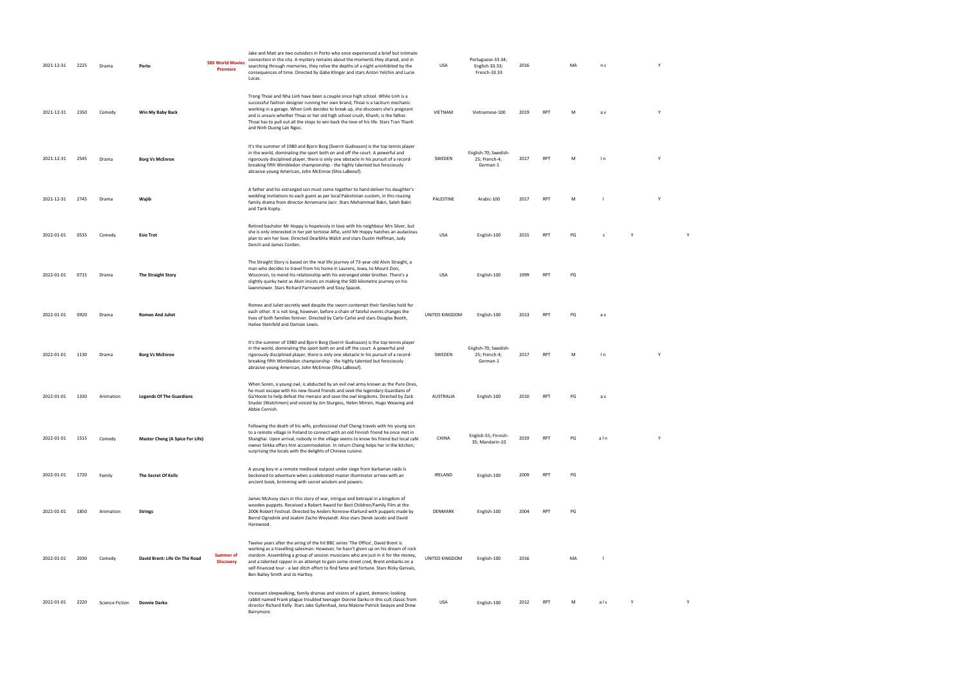| 2021-12-31 | 2225 | Drama                  | Porto                                  | <b>SBS World Movies</b><br><b>Premiere</b> | Jake and Mati are two outsiders in Porto who once experienced a brief but intimate<br>connection in the city. A mystery remains about the moments they shared, and in<br>searching through memories, they relive the depths of a night uninhibited by the<br>consequences of time. Directed by Gabe Klinger and stars Anton Yelchin and Lucie<br>Lucas.                                                                                                                         | USA            | Portuguese-33.34;<br>English-33.33;<br>French-33.33 | 2016 |            | MA | n s   |   | Y |  |
|------------|------|------------------------|----------------------------------------|--------------------------------------------|---------------------------------------------------------------------------------------------------------------------------------------------------------------------------------------------------------------------------------------------------------------------------------------------------------------------------------------------------------------------------------------------------------------------------------------------------------------------------------|----------------|-----------------------------------------------------|------|------------|----|-------|---|---|--|
| 2021-12-31 | 2350 | Comedy                 | Win My Baby Back                       |                                            | Trong Thoai and Nha Linh have been a couple since high school. While Linh is a<br>successful fashion designer running her own brand, Thoai is a taciturn mechanic<br>working in a garage. When Linh decides to break up, she discovers she's pregnant<br>and is unsure whether Thoai or her old high school crush, Khanh, is the father.<br>Thoai has to pull out all the stops to win back the love of his life. Stars Tran Thanh<br>and Ninh Duong Lan Ngoc.                  | VIETNAM        | Vietnamese-100                                      | 2019 | RPT        | M  | a v   |   | Y |  |
| 2021-12-31 | 2545 | Drama                  | <b>Borg Vs McEnroe</b>                 |                                            | It's the summer of 1980 and Bjorn Borg (Sverrir Gudnason) is the top tennis player<br>in the world, dominating the sport both on and off the court. A powerful and<br>rigorously disciplined player, there is only one obstacle in his pursuit of a record-<br>breaking fifth Wimbledon championship - the highly talented but ferociously<br>abrasive young American, John McEnroe (Shia LaBeouf).                                                                             | SWEDEN         | English-70; Swedish-<br>25; French-4;<br>German-1   | 2017 | <b>RPT</b> | М  | In    |   |   |  |
| 2021-12-31 | 2745 | Drama                  | Wajib                                  |                                            | A father and his estranged son must come together to hand deliver his daughter's<br>wedding invitations to each guest as per local Palestinian custom, in this rousing<br>family drama from director Annemarie Jacir. Stars Mohammad Bakri, Saleh Bakri<br>and Tarik Kopty.                                                                                                                                                                                                     | PALESTINE      | Arabic-100                                          | 2017 | <b>RPT</b> | M  |       |   | Y |  |
| 2022-01-01 | 0535 | Comedy                 | <b>Esio Trot</b>                       |                                            | Retired bachelor Mr Hoppy is hopelessly in love with his neighbour Mrs Silver, but<br>she is only interested in her pet tortoise Alfie, until Mr Hoppy hatches an audacious<br>plan to win her love. Directed Dearbhla Walsh and stars Dustin Hoffman, Judy<br>Dench and James Corden.                                                                                                                                                                                          | USA            | English-100                                         | 2015 | <b>RPT</b> | PG | s     | Y |   |  |
| 2022-01-01 | 0715 | Drama                  | <b>The Straight Story</b>              |                                            | The Straight Story is based on the real life journey of 73-year-old Alvin Straight, a<br>man who decides to travel from his home in Laurens, Iowa, to Mount Zion,<br>Wisconsin, to mend his relationship with his estranged older brother. There's a<br>slightly quirky twist as Alvin insists on making the 500 kilometre journey on his<br>lawnmower. Stars Richard Farnsworth and Sissy Spacek.                                                                              | USA            | English-100                                         | 1999 | <b>RPT</b> | PG |       |   |   |  |
| 2022-01-01 | 0920 | Drama                  | <b>Romeo And Juliet</b>                |                                            | Romeo and Juliet secretly wed despite the sworn contempt their families hold for<br>each other. It is not long, however, before a chain of fateful events changes the<br>lives of both families forever. Directed by Carlo Carlei and stars Douglas Booth,<br>Hailee Steinfeld and Damian Lewis.                                                                                                                                                                                | UNITED KINGDOM | English-100                                         | 2013 | RPT        | PG | a v   |   |   |  |
| 2022-01-01 | 1130 | Drama                  | <b>Borg Vs McEnroe</b>                 |                                            | It's the summer of 1980 and Bjorn Borg (Sverrir Gudnason) is the top tennis player<br>in the world, dominating the sport both on and off the court. A powerful and<br>rigorously disciplined player, there is only one obstacle in his pursuit of a record-<br>breaking fifth Wimbledon championship - the highly talented but ferociously<br>abrasive young American, John McEnroe (Shia LaBeouf).                                                                             | SWEDEN         | English-70; Swedish-<br>25; French-4;<br>German-1   | 2017 | <b>RPT</b> | M  | $\ln$ |   | Y |  |
| 2022-01-01 | 1330 | Animation              | <b>Legends Of The Guardians</b>        |                                            | When Soren, a young owl, is abducted by an evil owl army known as the Pure Ones,<br>he must escape with his new-found friends and seek the legendary Guardians of<br>Ga'Hoole to help defeat the menace and save the owl kingdoms. Directed by Zack<br>Snyder (Watchmen) and voiced by Jim Sturgess, Helen Mirren, Hugo Weaving and<br>Abbie Cornish.                                                                                                                           | AUSTRALIA      | English-100                                         | 2010 | <b>RPT</b> | PG | a v   |   |   |  |
| 2022-01-01 | 1515 | Comedy                 | <b>Master Cheng (A Spice For Life)</b> |                                            | Following the death of his wife, professional chef Cheng travels with his young son<br>to a remote village in Finland to connect with an old Finnish friend he once met in<br>Shanghai. Upon arrival, nobody in the village seems to know his friend but local café<br>owner Sirkka offers him accommodation. In return Cheng helps her in the kitchen,<br>surprising the locals with the delights of Chinese cuisine.                                                          | CHINA          | English-55; Finnish-<br>35; Mandarin-10             | 2019 | <b>RPT</b> | PG | aln   |   | Y |  |
| 2022-01-01 | 1720 | Family                 | The Secret Of Kells                    |                                            | A young boy in a remote medieval outpost under siege from barbarian raids is<br>beckoned to adventure when a celebrated master illuminator arrives with an<br>ancient book, brimming with secret wisdom and powers.                                                                                                                                                                                                                                                             | IRELAND        | English-100                                         | 2009 | RPT        | PG |       |   |   |  |
| 2022-01-01 | 1850 | Animation              | <b>Strings</b>                         |                                            | James McAvoy stars in this story of war, intrigue and betrayal in a kingdom of<br>wooden puppets. Received a Robert Award for Best Children/Family Film at the<br>2006 Robert Festival. Directed by Anders Ronnow-Klarlund with puppets made by<br>Bernd Ogrodnik and Joakim Zacho Weylandt. Also stars Derek Jacobi and David<br>Harewood.                                                                                                                                     | DENMARK        | English-100                                         | 2004 | <b>RPT</b> | PG |       |   |   |  |
| 2022-01-01 | 2030 | Comedy                 | David Brent: Life On The Road          | <b>Summer of</b><br><b>Discovery</b>       | Twelve years after the airing of the hit BBC series 'The Office', David Brent is<br>working as a travelling salesman. However, he hasn't given up on his dream of rock<br>stardom. Assembling a group of session musicians who are just in it for the money,<br>and a talented rapper in an attempt to gain some street cred, Brent embarks on a<br>self-financed tour - a last ditch effort to find fame and fortune. Stars Ricky Gervais,<br>Ben Bailey Smith and Jo Hartley. | UNITED KINGDOM | English-100                                         | 2016 |            | MA |       |   |   |  |
| 2022-01-01 | 2220 | <b>Science Fiction</b> | Donnie Darko                           |                                            | Incessant sleepwalking, family dramas and visions of a giant, demonic-looking<br>rabbit named Frank plague troubled teenager Donnie Darko in this cult classic from<br>director Richard Kelly. Stars Jake Gyllenhaal, Jena Malone Patrick Swayze and Drew<br>Barrymore.                                                                                                                                                                                                         | USA            | English-100                                         | 2012 | <b>RPT</b> | M  | als   | Y |   |  |